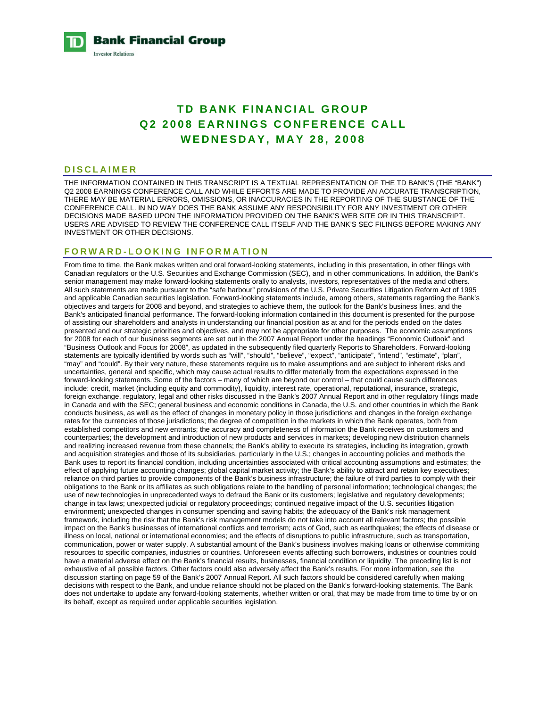**Bank Financial Group Investor Relations** 

# **TD BANK FINANCIAL GROUP Q2 2008 EARNINGS CONFERENCE CALL WEDNESDAY, MAY 28, 2008**

#### **DISCLAIMER**

THE INFORMATION CONTAINED IN THIS TRANSCRIPT IS A TEXTUAL REPRESENTATION OF THE TD BANK'S (THE "BANK") Q2 2008 EARNINGS CONFERENCE CALL AND WHILE EFFORTS ARE MADE TO PROVIDE AN ACCURATE TRANSCRIPTION, THERE MAY BE MATERIAL ERRORS, OMISSIONS, OR INACCURACIES IN THE REPORTING OF THE SUBSTANCE OF THE CONFERENCE CALL. IN NO WAY DOES THE BANK ASSUME ANY RESPONSIBILITY FOR ANY INVESTMENT OR OTHER DECISIONS MADE BASED UPON THE INFORMATION PROVIDED ON THE BANK'S WEB SITE OR IN THIS TRANSCRIPT. USERS ARE ADVISED TO REVIEW THE CONFERENCE CALL ITSELF AND THE BANK'S SEC FILINGS BEFORE MAKING ANY INVESTMENT OR OTHER DECISIONS.

### **FORWARD-LOOKING INFORMATION**

From time to time, the Bank makes written and oral forward-looking statements, including in this presentation, in other filings with Canadian regulators or the U.S. Securities and Exchange Commission (SEC), and in other communications. In addition, the Bank's senior management may make forward-looking statements orally to analysts, investors, representatives of the media and others. All such statements are made pursuant to the "safe harbour" provisions of the U.S. Private Securities Litigation Reform Act of 1995 and applicable Canadian securities legislation. Forward-looking statements include, among others, statements regarding the Bank's objectives and targets for 2008 and beyond, and strategies to achieve them, the outlook for the Bank's business lines, and the Bank's anticipated financial performance. The forward-looking information contained in this document is presented for the purpose of assisting our shareholders and analysts in understanding our financial position as at and for the periods ended on the dates presented and our strategic priorities and objectives, and may not be appropriate for other purposes. The economic assumptions for 2008 for each of our business segments are set out in the 2007 Annual Report under the headings "Economic Outlook" and "Business Outlook and Focus for 2008", as updated in the subsequently filed quarterly Reports to Shareholders. Forward-looking statements are typically identified by words such as "will", "should", "believe", "expect", "anticipate", "intend", "estimate", "plan", "may" and "could". By their very nature, these statements require us to make assumptions and are subject to inherent risks and uncertainties, general and specific, which may cause actual results to differ materially from the expectations expressed in the forward-looking statements. Some of the factors – many of which are beyond our control – that could cause such differences include: credit, market (including equity and commodity), liquidity, interest rate, operational, reputational, insurance, strategic, foreign exchange, regulatory, legal and other risks discussed in the Bank's 2007 Annual Report and in other regulatory filings made in Canada and with the SEC; general business and economic conditions in Canada, the U.S. and other countries in which the Bank conducts business, as well as the effect of changes in monetary policy in those jurisdictions and changes in the foreign exchange rates for the currencies of those jurisdictions; the degree of competition in the markets in which the Bank operates, both from established competitors and new entrants; the accuracy and completeness of information the Bank receives on customers and counterparties; the development and introduction of new products and services in markets; developing new distribution channels and realizing increased revenue from these channels; the Bank's ability to execute its strategies, including its integration, growth and acquisition strategies and those of its subsidiaries, particularly in the U.S.; changes in accounting policies and methods the Bank uses to report its financial condition, including uncertainties associated with critical accounting assumptions and estimates; the effect of applying future accounting changes; global capital market activity; the Bank's ability to attract and retain key executives; reliance on third parties to provide components of the Bank's business infrastructure; the failure of third parties to comply with their obligations to the Bank or its affiliates as such obligations relate to the handling of personal information; technological changes; the use of new technologies in unprecedented ways to defraud the Bank or its customers; legislative and regulatory developments; change in tax laws; unexpected judicial or regulatory proceedings; continued negative impact of the U.S. securities litigation environment; unexpected changes in consumer spending and saving habits; the adequacy of the Bank's risk management framework, including the risk that the Bank's risk management models do not take into account all relevant factors; the possible impact on the Bank's businesses of international conflicts and terrorism; acts of God, such as earthquakes; the effects of disease or illness on local, national or international economies; and the effects of disruptions to public infrastructure, such as transportation, communication, power or water supply. A substantial amount of the Bank's business involves making loans or otherwise committing resources to specific companies, industries or countries. Unforeseen events affecting such borrowers, industries or countries could have a material adverse effect on the Bank's financial results, businesses, financial condition or liquidity. The preceding list is not exhaustive of all possible factors. Other factors could also adversely affect the Bank's results. For more information, see the discussion starting on page 59 of the Bank's 2007 Annual Report. All such factors should be considered carefully when making decisions with respect to the Bank, and undue reliance should not be placed on the Bank's forward-looking statements. The Bank does not undertake to update any forward-looking statements, whether written or oral, that may be made from time to time by or on its behalf, except as required under applicable securities legislation.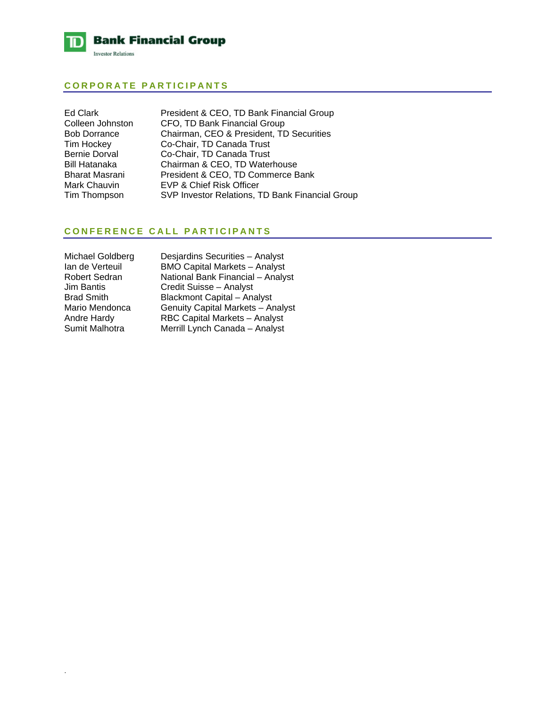

# **CORPORATE PARTICIPANTS**

| Ed Clark             | President & CEO, TD Bank Financial Group        |
|----------------------|-------------------------------------------------|
| Colleen Johnston     | CFO, TD Bank Financial Group                    |
| <b>Bob Dorrance</b>  | Chairman, CEO & President, TD Securities        |
| Tim Hockey           | Co-Chair, TD Canada Trust                       |
| <b>Bernie Dorval</b> | Co-Chair, TD Canada Trust                       |
| Bill Hatanaka        | Chairman & CEO, TD Waterhouse                   |
| Bharat Masrani       | President & CEO, TD Commerce Bank               |
| Mark Chauvin         | EVP & Chief Risk Officer                        |
| Tim Thompson         | SVP Investor Relations, TD Bank Financial Group |

# **CONFERENCE CALL PARTICIPANTS**

| Michael Goldberg     | De  |
|----------------------|-----|
| Ian de Verteuil      | ΒM  |
| <b>Robert Sedran</b> | Na  |
| <b>Jim Bantis</b>    | C۲  |
| <b>Brad Smith</b>    | Bla |
| Mario Mendonca       | Ge  |
| Andre Hardy          | RB  |
| Sumit Malhotra       | Me  |
|                      |     |

.

esjardins Securities – Analyst **IO Capital Markets – Analyst** ational Bank Financial – Analyst edit Suisse – Analyst ackmont Capital – Analyst enuity Capital Markets – Analyst BC Capital Markets – Analyst errill Lynch Canada – Analyst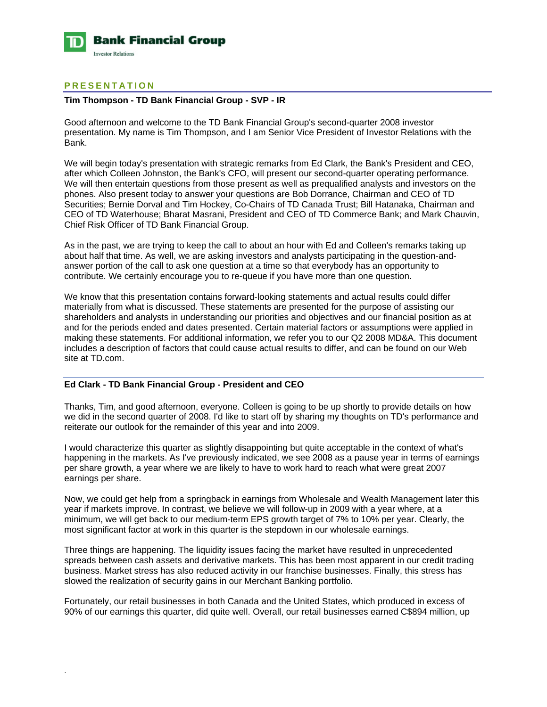

# **PRESENTATION**

.

### **Tim Thompson - TD Bank Financial Group - SVP - IR**

Good afternoon and welcome to the TD Bank Financial Group's second-quarter 2008 investor presentation. My name is Tim Thompson, and I am Senior Vice President of Investor Relations with the Bank.

We will begin today's presentation with strategic remarks from Ed Clark, the Bank's President and CEO, after which Colleen Johnston, the Bank's CFO, will present our second-quarter operating performance. We will then entertain questions from those present as well as prequalified analysts and investors on the phones. Also present today to answer your questions are Bob Dorrance, Chairman and CEO of TD Securities; Bernie Dorval and Tim Hockey, Co-Chairs of TD Canada Trust; Bill Hatanaka, Chairman and CEO of TD Waterhouse; Bharat Masrani, President and CEO of TD Commerce Bank; and Mark Chauvin, Chief Risk Officer of TD Bank Financial Group.

As in the past, we are trying to keep the call to about an hour with Ed and Colleen's remarks taking up about half that time. As well, we are asking investors and analysts participating in the question-andanswer portion of the call to ask one question at a time so that everybody has an opportunity to contribute. We certainly encourage you to re-queue if you have more than one question.

We know that this presentation contains forward-looking statements and actual results could differ materially from what is discussed. These statements are presented for the purpose of assisting our shareholders and analysts in understanding our priorities and objectives and our financial position as at and for the periods ended and dates presented. Certain material factors or assumptions were applied in making these statements. For additional information, we refer you to our Q2 2008 MD&A. This document includes a description of factors that could cause actual results to differ, and can be found on our Web site at TD.com.

#### **Ed Clark - TD Bank Financial Group - President and CEO**

Thanks, Tim, and good afternoon, everyone. Colleen is going to be up shortly to provide details on how we did in the second quarter of 2008. I'd like to start off by sharing my thoughts on TD's performance and reiterate our outlook for the remainder of this year and into 2009.

I would characterize this quarter as slightly disappointing but quite acceptable in the context of what's happening in the markets. As I've previously indicated, we see 2008 as a pause year in terms of earnings per share growth, a year where we are likely to have to work hard to reach what were great 2007 earnings per share.

Now, we could get help from a springback in earnings from Wholesale and Wealth Management later this year if markets improve. In contrast, we believe we will follow-up in 2009 with a year where, at a minimum, we will get back to our medium-term EPS growth target of 7% to 10% per year. Clearly, the most significant factor at work in this quarter is the stepdown in our wholesale earnings.

Three things are happening. The liquidity issues facing the market have resulted in unprecedented spreads between cash assets and derivative markets. This has been most apparent in our credit trading business. Market stress has also reduced activity in our franchise businesses. Finally, this stress has slowed the realization of security gains in our Merchant Banking portfolio.

Fortunately, our retail businesses in both Canada and the United States, which produced in excess of 90% of our earnings this quarter, did quite well. Overall, our retail businesses earned C\$894 million, up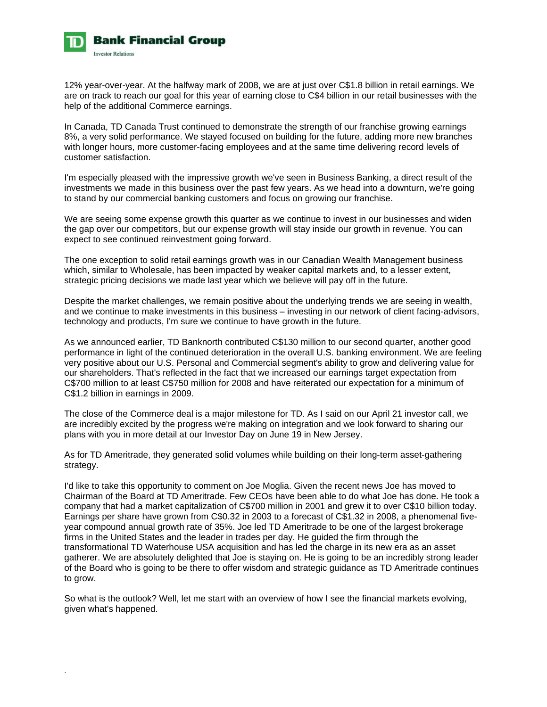

12% year-over-year. At the halfway mark of 2008, we are at just over C\$1.8 billion in retail earnings. We are on track to reach our goal for this year of earning close to C\$4 billion in our retail businesses with the help of the additional Commerce earnings.

In Canada, TD Canada Trust continued to demonstrate the strength of our franchise growing earnings 8%, a very solid performance. We stayed focused on building for the future, adding more new branches with longer hours, more customer-facing employees and at the same time delivering record levels of customer satisfaction.

I'm especially pleased with the impressive growth we've seen in Business Banking, a direct result of the investments we made in this business over the past few years. As we head into a downturn, we're going to stand by our commercial banking customers and focus on growing our franchise.

We are seeing some expense growth this quarter as we continue to invest in our businesses and widen the gap over our competitors, but our expense growth will stay inside our growth in revenue. You can expect to see continued reinvestment going forward.

The one exception to solid retail earnings growth was in our Canadian Wealth Management business which, similar to Wholesale, has been impacted by weaker capital markets and, to a lesser extent, strategic pricing decisions we made last year which we believe will pay off in the future.

Despite the market challenges, we remain positive about the underlying trends we are seeing in wealth, and we continue to make investments in this business – investing in our network of client facing-advisors, technology and products, I'm sure we continue to have growth in the future.

As we announced earlier, TD Banknorth contributed C\$130 million to our second quarter, another good performance in light of the continued deterioration in the overall U.S. banking environment. We are feeling very positive about our U.S. Personal and Commercial segment's ability to grow and delivering value for our shareholders. That's reflected in the fact that we increased our earnings target expectation from C\$700 million to at least C\$750 million for 2008 and have reiterated our expectation for a minimum of C\$1.2 billion in earnings in 2009.

The close of the Commerce deal is a major milestone for TD. As I said on our April 21 investor call, we are incredibly excited by the progress we're making on integration and we look forward to sharing our plans with you in more detail at our Investor Day on June 19 in New Jersey.

As for TD Ameritrade, they generated solid volumes while building on their long-term asset-gathering strategy.

I'd like to take this opportunity to comment on Joe Moglia. Given the recent news Joe has moved to Chairman of the Board at TD Ameritrade. Few CEOs have been able to do what Joe has done. He took a company that had a market capitalization of C\$700 million in 2001 and grew it to over C\$10 billion today. Earnings per share have grown from C\$0.32 in 2003 to a forecast of C\$1.32 in 2008, a phenomenal fiveyear compound annual growth rate of 35%. Joe led TD Ameritrade to be one of the largest brokerage firms in the United States and the leader in trades per day. He guided the firm through the transformational TD Waterhouse USA acquisition and has led the charge in its new era as an asset gatherer. We are absolutely delighted that Joe is staying on. He is going to be an incredibly strong leader of the Board who is going to be there to offer wisdom and strategic guidance as TD Ameritrade continues to grow.

So what is the outlook? Well, let me start with an overview of how I see the financial markets evolving, given what's happened.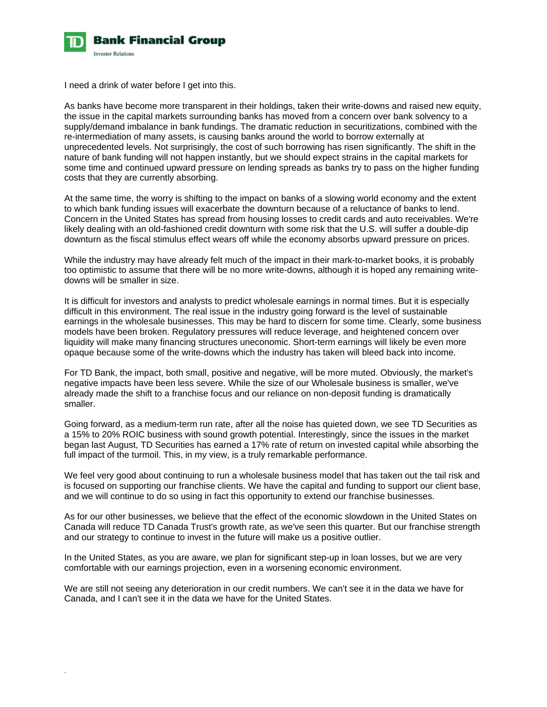

I need a drink of water before I get into this.

.

As banks have become more transparent in their holdings, taken their write-downs and raised new equity, the issue in the capital markets surrounding banks has moved from a concern over bank solvency to a supply/demand imbalance in bank fundings. The dramatic reduction in securitizations, combined with the re-intermediation of many assets, is causing banks around the world to borrow externally at unprecedented levels. Not surprisingly, the cost of such borrowing has risen significantly. The shift in the nature of bank funding will not happen instantly, but we should expect strains in the capital markets for some time and continued upward pressure on lending spreads as banks try to pass on the higher funding costs that they are currently absorbing.

At the same time, the worry is shifting to the impact on banks of a slowing world economy and the extent to which bank funding issues will exacerbate the downturn because of a reluctance of banks to lend. Concern in the United States has spread from housing losses to credit cards and auto receivables. We're likely dealing with an old-fashioned credit downturn with some risk that the U.S. will suffer a double-dip downturn as the fiscal stimulus effect wears off while the economy absorbs upward pressure on prices.

While the industry may have already felt much of the impact in their mark-to-market books, it is probably too optimistic to assume that there will be no more write-downs, although it is hoped any remaining writedowns will be smaller in size.

It is difficult for investors and analysts to predict wholesale earnings in normal times. But it is especially difficult in this environment. The real issue in the industry going forward is the level of sustainable earnings in the wholesale businesses. This may be hard to discern for some time. Clearly, some business models have been broken. Regulatory pressures will reduce leverage, and heightened concern over liquidity will make many financing structures uneconomic. Short-term earnings will likely be even more opaque because some of the write-downs which the industry has taken will bleed back into income.

For TD Bank, the impact, both small, positive and negative, will be more muted. Obviously, the market's negative impacts have been less severe. While the size of our Wholesale business is smaller, we've already made the shift to a franchise focus and our reliance on non-deposit funding is dramatically smaller.

Going forward, as a medium-term run rate, after all the noise has quieted down, we see TD Securities as a 15% to 20% ROIC business with sound growth potential. Interestingly, since the issues in the market began last August, TD Securities has earned a 17% rate of return on invested capital while absorbing the full impact of the turmoil. This, in my view, is a truly remarkable performance.

We feel very good about continuing to run a wholesale business model that has taken out the tail risk and is focused on supporting our franchise clients. We have the capital and funding to support our client base, and we will continue to do so using in fact this opportunity to extend our franchise businesses.

As for our other businesses, we believe that the effect of the economic slowdown in the United States on Canada will reduce TD Canada Trust's growth rate, as we've seen this quarter. But our franchise strength and our strategy to continue to invest in the future will make us a positive outlier.

In the United States, as you are aware, we plan for significant step-up in loan losses, but we are very comfortable with our earnings projection, even in a worsening economic environment.

We are still not seeing any deterioration in our credit numbers. We can't see it in the data we have for Canada, and I can't see it in the data we have for the United States.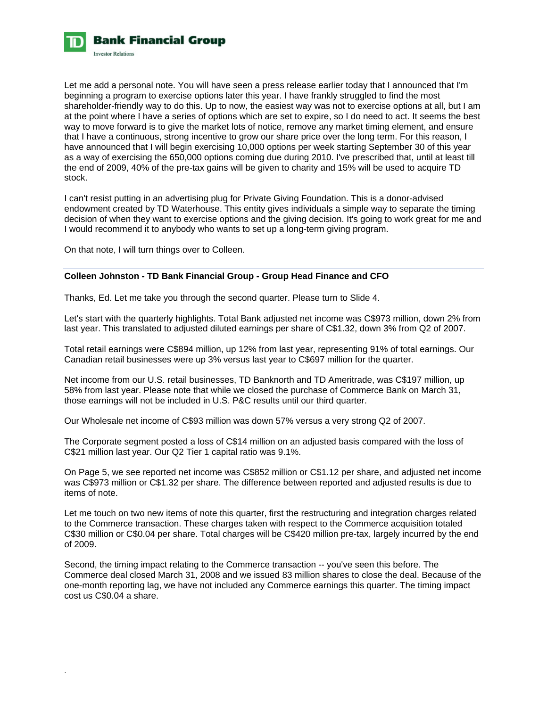

Let me add a personal note. You will have seen a press release earlier today that I announced that I'm beginning a program to exercise options later this year. I have frankly struggled to find the most shareholder-friendly way to do this. Up to now, the easiest way was not to exercise options at all, but I am at the point where I have a series of options which are set to expire, so I do need to act. It seems the best way to move forward is to give the market lots of notice, remove any market timing element, and ensure that I have a continuous, strong incentive to grow our share price over the long term. For this reason, I have announced that I will begin exercising 10,000 options per week starting September 30 of this year as a way of exercising the 650,000 options coming due during 2010. I've prescribed that, until at least till the end of 2009, 40% of the pre-tax gains will be given to charity and 15% will be used to acquire TD stock.

I can't resist putting in an advertising plug for Private Giving Foundation. This is a donor-advised endowment created by TD Waterhouse. This entity gives individuals a simple way to separate the timing decision of when they want to exercise options and the giving decision. It's going to work great for me and I would recommend it to anybody who wants to set up a long-term giving program.

On that note, I will turn things over to Colleen.

.

### **Colleen Johnston - TD Bank Financial Group - Group Head Finance and CFO**

Thanks, Ed. Let me take you through the second quarter. Please turn to Slide 4.

Let's start with the quarterly highlights. Total Bank adjusted net income was C\$973 million, down 2% from last year. This translated to adjusted diluted earnings per share of C\$1.32, down 3% from Q2 of 2007.

Total retail earnings were C\$894 million, up 12% from last year, representing 91% of total earnings. Our Canadian retail businesses were up 3% versus last year to C\$697 million for the quarter.

Net income from our U.S. retail businesses, TD Banknorth and TD Ameritrade, was C\$197 million, up 58% from last year. Please note that while we closed the purchase of Commerce Bank on March 31, those earnings will not be included in U.S. P&C results until our third quarter.

Our Wholesale net income of C\$93 million was down 57% versus a very strong Q2 of 2007.

The Corporate segment posted a loss of C\$14 million on an adjusted basis compared with the loss of C\$21 million last year. Our Q2 Tier 1 capital ratio was 9.1%.

On Page 5, we see reported net income was C\$852 million or C\$1.12 per share, and adjusted net income was C\$973 million or C\$1.32 per share. The difference between reported and adjusted results is due to items of note.

Let me touch on two new items of note this quarter, first the restructuring and integration charges related to the Commerce transaction. These charges taken with respect to the Commerce acquisition totaled C\$30 million or C\$0.04 per share. Total charges will be C\$420 million pre-tax, largely incurred by the end of 2009.

Second, the timing impact relating to the Commerce transaction -- you've seen this before. The Commerce deal closed March 31, 2008 and we issued 83 million shares to close the deal. Because of the one-month reporting lag, we have not included any Commerce earnings this quarter. The timing impact cost us C\$0.04 a share.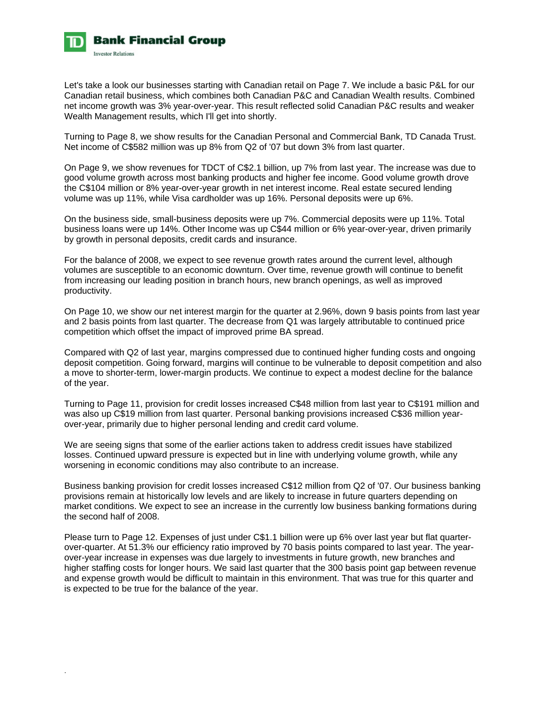

Let's take a look our businesses starting with Canadian retail on Page 7. We include a basic P&L for our Canadian retail business, which combines both Canadian P&C and Canadian Wealth results. Combined net income growth was 3% year-over-year. This result reflected solid Canadian P&C results and weaker Wealth Management results, which I'll get into shortly.

Turning to Page 8, we show results for the Canadian Personal and Commercial Bank, TD Canada Trust. Net income of C\$582 million was up 8% from Q2 of '07 but down 3% from last quarter.

On Page 9, we show revenues for TDCT of C\$2.1 billion, up 7% from last year. The increase was due to good volume growth across most banking products and higher fee income. Good volume growth drove the C\$104 million or 8% year-over-year growth in net interest income. Real estate secured lending volume was up 11%, while Visa cardholder was up 16%. Personal deposits were up 6%.

On the business side, small-business deposits were up 7%. Commercial deposits were up 11%. Total business loans were up 14%. Other Income was up C\$44 million or 6% year-over-year, driven primarily by growth in personal deposits, credit cards and insurance.

For the balance of 2008, we expect to see revenue growth rates around the current level, although volumes are susceptible to an economic downturn. Over time, revenue growth will continue to benefit from increasing our leading position in branch hours, new branch openings, as well as improved productivity.

On Page 10, we show our net interest margin for the quarter at 2.96%, down 9 basis points from last year and 2 basis points from last quarter. The decrease from Q1 was largely attributable to continued price competition which offset the impact of improved prime BA spread.

Compared with Q2 of last year, margins compressed due to continued higher funding costs and ongoing deposit competition. Going forward, margins will continue to be vulnerable to deposit competition and also a move to shorter-term, lower-margin products. We continue to expect a modest decline for the balance of the year.

Turning to Page 11, provision for credit losses increased C\$48 million from last year to C\$191 million and was also up C\$19 million from last quarter. Personal banking provisions increased C\$36 million yearover-year, primarily due to higher personal lending and credit card volume.

We are seeing signs that some of the earlier actions taken to address credit issues have stabilized losses. Continued upward pressure is expected but in line with underlying volume growth, while any worsening in economic conditions may also contribute to an increase.

Business banking provision for credit losses increased C\$12 million from Q2 of '07. Our business banking provisions remain at historically low levels and are likely to increase in future quarters depending on market conditions. We expect to see an increase in the currently low business banking formations during the second half of 2008.

Please turn to Page 12. Expenses of just under C\$1.1 billion were up 6% over last year but flat quarterover-quarter. At 51.3% our efficiency ratio improved by 70 basis points compared to last year. The yearover-year increase in expenses was due largely to investments in future growth, new branches and higher staffing costs for longer hours. We said last quarter that the 300 basis point gap between revenue and expense growth would be difficult to maintain in this environment. That was true for this quarter and is expected to be true for the balance of the year.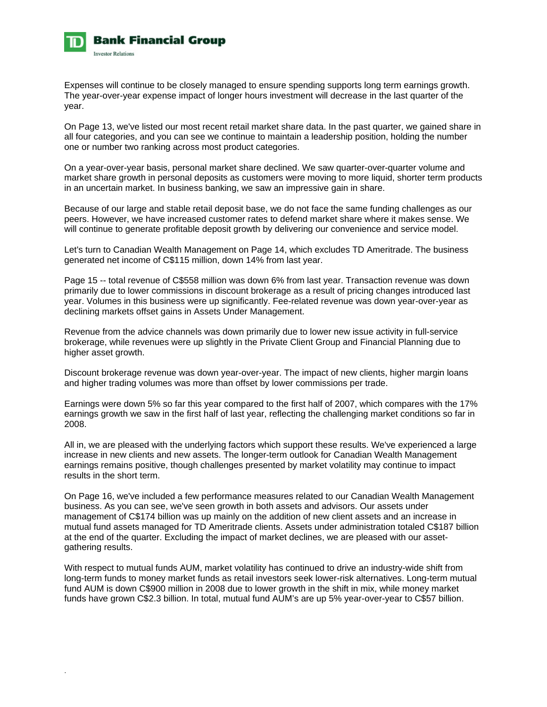

Expenses will continue to be closely managed to ensure spending supports long term earnings growth. The year-over-year expense impact of longer hours investment will decrease in the last quarter of the year.

On Page 13, we've listed our most recent retail market share data. In the past quarter, we gained share in all four categories, and you can see we continue to maintain a leadership position, holding the number one or number two ranking across most product categories.

On a year-over-year basis, personal market share declined. We saw quarter-over-quarter volume and market share growth in personal deposits as customers were moving to more liquid, shorter term products in an uncertain market. In business banking, we saw an impressive gain in share.

Because of our large and stable retail deposit base, we do not face the same funding challenges as our peers. However, we have increased customer rates to defend market share where it makes sense. We will continue to generate profitable deposit growth by delivering our convenience and service model.

Let's turn to Canadian Wealth Management on Page 14, which excludes TD Ameritrade. The business generated net income of C\$115 million, down 14% from last year.

Page 15 -- total revenue of C\$558 million was down 6% from last year. Transaction revenue was down primarily due to lower commissions in discount brokerage as a result of pricing changes introduced last year. Volumes in this business were up significantly. Fee-related revenue was down year-over-year as declining markets offset gains in Assets Under Management.

Revenue from the advice channels was down primarily due to lower new issue activity in full-service brokerage, while revenues were up slightly in the Private Client Group and Financial Planning due to higher asset growth.

Discount brokerage revenue was down year-over-year. The impact of new clients, higher margin loans and higher trading volumes was more than offset by lower commissions per trade.

Earnings were down 5% so far this year compared to the first half of 2007, which compares with the 17% earnings growth we saw in the first half of last year, reflecting the challenging market conditions so far in 2008.

All in, we are pleased with the underlying factors which support these results. We've experienced a large increase in new clients and new assets. The longer-term outlook for Canadian Wealth Management earnings remains positive, though challenges presented by market volatility may continue to impact results in the short term.

On Page 16, we've included a few performance measures related to our Canadian Wealth Management business. As you can see, we've seen growth in both assets and advisors. Our assets under management of C\$174 billion was up mainly on the addition of new client assets and an increase in mutual fund assets managed for TD Ameritrade clients. Assets under administration totaled C\$187 billion at the end of the quarter. Excluding the impact of market declines, we are pleased with our assetgathering results.

With respect to mutual funds AUM, market volatility has continued to drive an industry-wide shift from long-term funds to money market funds as retail investors seek lower-risk alternatives. Long-term mutual fund AUM is down C\$900 million in 2008 due to lower growth in the shift in mix, while money market funds have grown C\$2.3 billion. In total, mutual fund AUM's are up 5% year-over-year to C\$57 billion.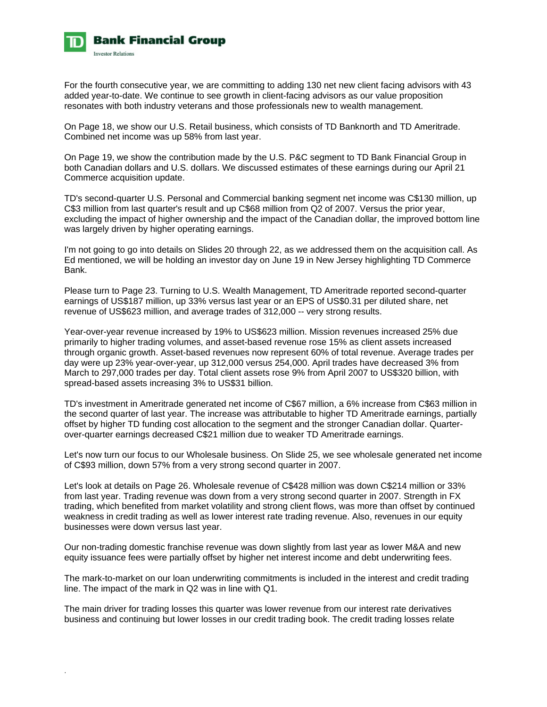

For the fourth consecutive year, we are committing to adding 130 net new client facing advisors with 43 added year-to-date. We continue to see growth in client-facing advisors as our value proposition resonates with both industry veterans and those professionals new to wealth management.

On Page 18, we show our U.S. Retail business, which consists of TD Banknorth and TD Ameritrade. Combined net income was up 58% from last year.

On Page 19, we show the contribution made by the U.S. P&C segment to TD Bank Financial Group in both Canadian dollars and U.S. dollars. We discussed estimates of these earnings during our April 21 Commerce acquisition update.

TD's second-quarter U.S. Personal and Commercial banking segment net income was C\$130 million, up C\$3 million from last quarter's result and up C\$68 million from Q2 of 2007. Versus the prior year, excluding the impact of higher ownership and the impact of the Canadian dollar, the improved bottom line was largely driven by higher operating earnings.

I'm not going to go into details on Slides 20 through 22, as we addressed them on the acquisition call. As Ed mentioned, we will be holding an investor day on June 19 in New Jersey highlighting TD Commerce Bank.

Please turn to Page 23. Turning to U.S. Wealth Management, TD Ameritrade reported second-quarter earnings of US\$187 million, up 33% versus last year or an EPS of US\$0.31 per diluted share, net revenue of US\$623 million, and average trades of 312,000 -- very strong results.

Year-over-year revenue increased by 19% to US\$623 million. Mission revenues increased 25% due primarily to higher trading volumes, and asset-based revenue rose 15% as client assets increased through organic growth. Asset-based revenues now represent 60% of total revenue. Average trades per day were up 23% year-over-year, up 312,000 versus 254,000. April trades have decreased 3% from March to 297,000 trades per day. Total client assets rose 9% from April 2007 to US\$320 billion, with spread-based assets increasing 3% to US\$31 billion.

TD's investment in Ameritrade generated net income of C\$67 million, a 6% increase from C\$63 million in the second quarter of last year. The increase was attributable to higher TD Ameritrade earnings, partially offset by higher TD funding cost allocation to the segment and the stronger Canadian dollar. Quarterover-quarter earnings decreased C\$21 million due to weaker TD Ameritrade earnings.

Let's now turn our focus to our Wholesale business. On Slide 25, we see wholesale generated net income of C\$93 million, down 57% from a very strong second quarter in 2007.

Let's look at details on Page 26. Wholesale revenue of C\$428 million was down C\$214 million or 33% from last year. Trading revenue was down from a very strong second quarter in 2007. Strength in FX trading, which benefited from market volatility and strong client flows, was more than offset by continued weakness in credit trading as well as lower interest rate trading revenue. Also, revenues in our equity businesses were down versus last year.

Our non-trading domestic franchise revenue was down slightly from last year as lower M&A and new equity issuance fees were partially offset by higher net interest income and debt underwriting fees.

The mark-to-market on our loan underwriting commitments is included in the interest and credit trading line. The impact of the mark in Q2 was in line with Q1.

The main driver for trading losses this quarter was lower revenue from our interest rate derivatives business and continuing but lower losses in our credit trading book. The credit trading losses relate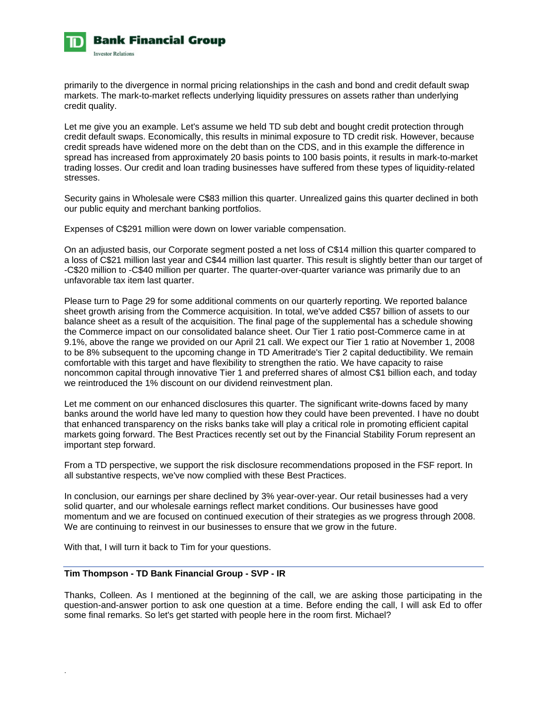

primarily to the divergence in normal pricing relationships in the cash and bond and credit default swap markets. The mark-to-market reflects underlying liquidity pressures on assets rather than underlying credit quality.

Let me give you an example. Let's assume we held TD sub debt and bought credit protection through credit default swaps. Economically, this results in minimal exposure to TD credit risk. However, because credit spreads have widened more on the debt than on the CDS, and in this example the difference in spread has increased from approximately 20 basis points to 100 basis points, it results in mark-to-market trading losses. Our credit and loan trading businesses have suffered from these types of liquidity-related stresses.

Security gains in Wholesale were C\$83 million this quarter. Unrealized gains this quarter declined in both our public equity and merchant banking portfolios.

Expenses of C\$291 million were down on lower variable compensation.

On an adjusted basis, our Corporate segment posted a net loss of C\$14 million this quarter compared to a loss of C\$21 million last year and C\$44 million last quarter. This result is slightly better than our target of -C\$20 million to -C\$40 million per quarter. The quarter-over-quarter variance was primarily due to an unfavorable tax item last quarter.

Please turn to Page 29 for some additional comments on our quarterly reporting. We reported balance sheet growth arising from the Commerce acquisition. In total, we've added C\$57 billion of assets to our balance sheet as a result of the acquisition. The final page of the supplemental has a schedule showing the Commerce impact on our consolidated balance sheet. Our Tier 1 ratio post-Commerce came in at 9.1%, above the range we provided on our April 21 call. We expect our Tier 1 ratio at November 1, 2008 to be 8% subsequent to the upcoming change in TD Ameritrade's Tier 2 capital deductibility. We remain comfortable with this target and have flexibility to strengthen the ratio. We have capacity to raise noncommon capital through innovative Tier 1 and preferred shares of almost C\$1 billion each, and today we reintroduced the 1% discount on our dividend reinvestment plan.

Let me comment on our enhanced disclosures this quarter. The significant write-downs faced by many banks around the world have led many to question how they could have been prevented. I have no doubt that enhanced transparency on the risks banks take will play a critical role in promoting efficient capital markets going forward. The Best Practices recently set out by the Financial Stability Forum represent an important step forward.

From a TD perspective, we support the risk disclosure recommendations proposed in the FSF report. In all substantive respects, we've now complied with these Best Practices.

In conclusion, our earnings per share declined by 3% year-over-year. Our retail businesses had a very solid quarter, and our wholesale earnings reflect market conditions. Our businesses have good momentum and we are focused on continued execution of their strategies as we progress through 2008. We are continuing to reinvest in our businesses to ensure that we grow in the future.

With that, I will turn it back to Tim for your questions.

.

#### **Tim Thompson - TD Bank Financial Group - SVP - IR**

Thanks, Colleen. As I mentioned at the beginning of the call, we are asking those participating in the question-and-answer portion to ask one question at a time. Before ending the call, I will ask Ed to offer some final remarks. So let's get started with people here in the room first. Michael?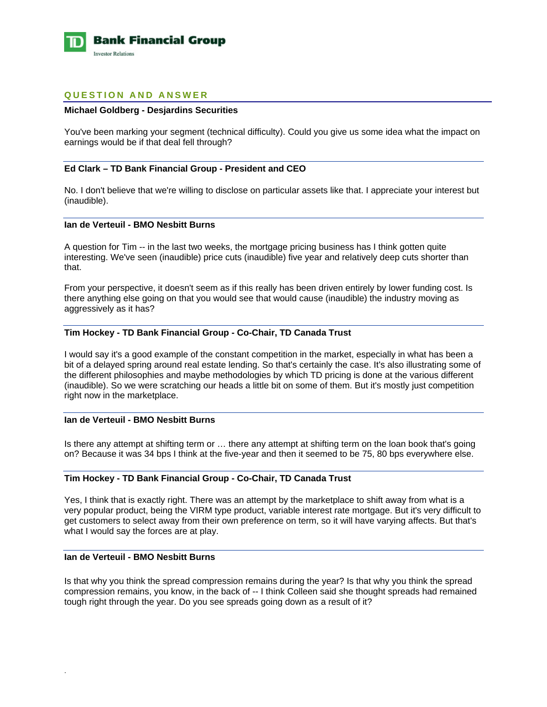

# **QUESTION AND ANSWER**

### **Michael Goldberg - Desjardins Securities**

You've been marking your segment (technical difficulty). Could you give us some idea what the impact on earnings would be if that deal fell through?

### **Ed Clark – TD Bank Financial Group - President and CEO**

No. I don't believe that we're willing to disclose on particular assets like that. I appreciate your interest but (inaudible).

### **Ian de Verteuil - BMO Nesbitt Burns**

A question for Tim -- in the last two weeks, the mortgage pricing business has I think gotten quite interesting. We've seen (inaudible) price cuts (inaudible) five year and relatively deep cuts shorter than that.

From your perspective, it doesn't seem as if this really has been driven entirely by lower funding cost. Is there anything else going on that you would see that would cause (inaudible) the industry moving as aggressively as it has?

### **Tim Hockey - TD Bank Financial Group - Co-Chair, TD Canada Trust**

I would say it's a good example of the constant competition in the market, especially in what has been a bit of a delayed spring around real estate lending. So that's certainly the case. It's also illustrating some of the different philosophies and maybe methodologies by which TD pricing is done at the various different (inaudible). So we were scratching our heads a little bit on some of them. But it's mostly just competition right now in the marketplace.

### **Ian de Verteuil - BMO Nesbitt Burns**

Is there any attempt at shifting term or … there any attempt at shifting term on the loan book that's going on? Because it was 34 bps I think at the five-year and then it seemed to be 75, 80 bps everywhere else.

#### **Tim Hockey - TD Bank Financial Group - Co-Chair, TD Canada Trust**

Yes, I think that is exactly right. There was an attempt by the marketplace to shift away from what is a very popular product, being the VIRM type product, variable interest rate mortgage. But it's very difficult to get customers to select away from their own preference on term, so it will have varying affects. But that's what I would say the forces are at play.

### **Ian de Verteuil - BMO Nesbitt Burns**

.

Is that why you think the spread compression remains during the year? Is that why you think the spread compression remains, you know, in the back of -- I think Colleen said she thought spreads had remained tough right through the year. Do you see spreads going down as a result of it?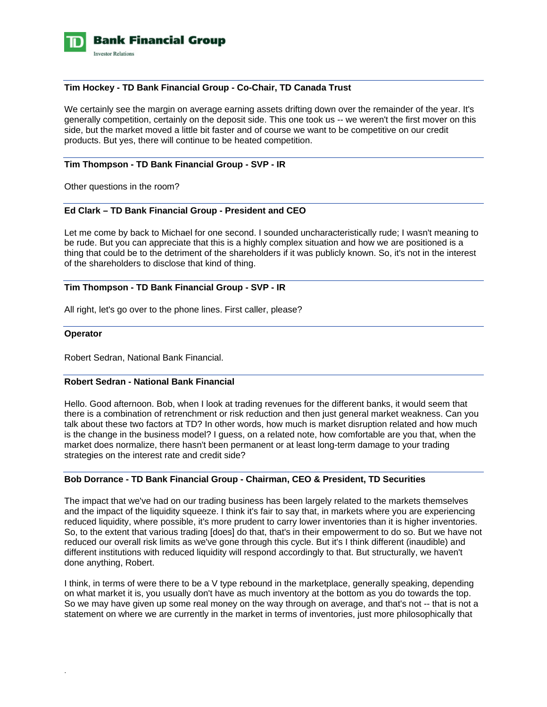

### **Tim Hockey - TD Bank Financial Group - Co-Chair, TD Canada Trust**

We certainly see the margin on average earning assets drifting down over the remainder of the year. It's generally competition, certainly on the deposit side. This one took us -- we weren't the first mover on this side, but the market moved a little bit faster and of course we want to be competitive on our credit products. But yes, there will continue to be heated competition.

# **Tim Thompson - TD Bank Financial Group - SVP - IR**

Other questions in the room?

# **Ed Clark – TD Bank Financial Group - President and CEO**

Let me come by back to Michael for one second. I sounded uncharacteristically rude; I wasn't meaning to be rude. But you can appreciate that this is a highly complex situation and how we are positioned is a thing that could be to the detriment of the shareholders if it was publicly known. So, it's not in the interest of the shareholders to disclose that kind of thing.

### **Tim Thompson - TD Bank Financial Group - SVP - IR**

All right, let's go over to the phone lines. First caller, please?

#### **Operator**

.

Robert Sedran, National Bank Financial.

### **Robert Sedran - National Bank Financial**

Hello. Good afternoon. Bob, when I look at trading revenues for the different banks, it would seem that there is a combination of retrenchment or risk reduction and then just general market weakness. Can you talk about these two factors at TD? In other words, how much is market disruption related and how much is the change in the business model? I guess, on a related note, how comfortable are you that, when the market does normalize, there hasn't been permanent or at least long-term damage to your trading strategies on the interest rate and credit side?

### **Bob Dorrance - TD Bank Financial Group - Chairman, CEO & President, TD Securities**

The impact that we've had on our trading business has been largely related to the markets themselves and the impact of the liquidity squeeze. I think it's fair to say that, in markets where you are experiencing reduced liquidity, where possible, it's more prudent to carry lower inventories than it is higher inventories. So, to the extent that various trading [does] do that, that's in their empowerment to do so. But we have not reduced our overall risk limits as we've gone through this cycle. But it's I think different (inaudible) and different institutions with reduced liquidity will respond accordingly to that. But structurally, we haven't done anything, Robert.

I think, in terms of were there to be a V type rebound in the marketplace, generally speaking, depending on what market it is, you usually don't have as much inventory at the bottom as you do towards the top. So we may have given up some real money on the way through on average, and that's not -- that is not a statement on where we are currently in the market in terms of inventories, just more philosophically that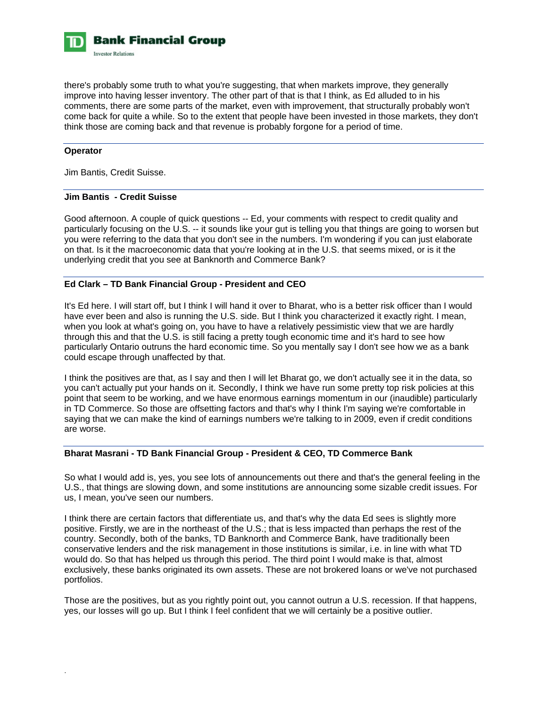**Bank Financial Group Investor Relations** 

there's probably some truth to what you're suggesting, that when markets improve, they generally improve into having lesser inventory. The other part of that is that I think, as Ed alluded to in his comments, there are some parts of the market, even with improvement, that structurally probably won't come back for quite a while. So to the extent that people have been invested in those markets, they don't think those are coming back and that revenue is probably forgone for a period of time.

### **Operator**

.

Jim Bantis, Credit Suisse.

# **Jim Bantis - Credit Suisse**

Good afternoon. A couple of quick questions -- Ed, your comments with respect to credit quality and particularly focusing on the U.S. -- it sounds like your gut is telling you that things are going to worsen but you were referring to the data that you don't see in the numbers. I'm wondering if you can just elaborate on that. Is it the macroeconomic data that you're looking at in the U.S. that seems mixed, or is it the underlying credit that you see at Banknorth and Commerce Bank?

# **Ed Clark – TD Bank Financial Group - President and CEO**

It's Ed here. I will start off, but I think I will hand it over to Bharat, who is a better risk officer than I would have ever been and also is running the U.S. side. But I think you characterized it exactly right. I mean, when you look at what's going on, you have to have a relatively pessimistic view that we are hardly through this and that the U.S. is still facing a pretty tough economic time and it's hard to see how particularly Ontario outruns the hard economic time. So you mentally say I don't see how we as a bank could escape through unaffected by that.

I think the positives are that, as I say and then I will let Bharat go, we don't actually see it in the data, so you can't actually put your hands on it. Secondly, I think we have run some pretty top risk policies at this point that seem to be working, and we have enormous earnings momentum in our (inaudible) particularly in TD Commerce. So those are offsetting factors and that's why I think I'm saying we're comfortable in saying that we can make the kind of earnings numbers we're talking to in 2009, even if credit conditions are worse.

# **Bharat Masrani - TD Bank Financial Group - President & CEO, TD Commerce Bank**

So what I would add is, yes, you see lots of announcements out there and that's the general feeling in the U.S., that things are slowing down, and some institutions are announcing some sizable credit issues. For us, I mean, you've seen our numbers.

I think there are certain factors that differentiate us, and that's why the data Ed sees is slightly more positive. Firstly, we are in the northeast of the U.S.; that is less impacted than perhaps the rest of the country. Secondly, both of the banks, TD Banknorth and Commerce Bank, have traditionally been conservative lenders and the risk management in those institutions is similar, i.e. in line with what TD would do. So that has helped us through this period. The third point I would make is that, almost exclusively, these banks originated its own assets. These are not brokered loans or we've not purchased portfolios.

Those are the positives, but as you rightly point out, you cannot outrun a U.S. recession. If that happens, yes, our losses will go up. But I think I feel confident that we will certainly be a positive outlier.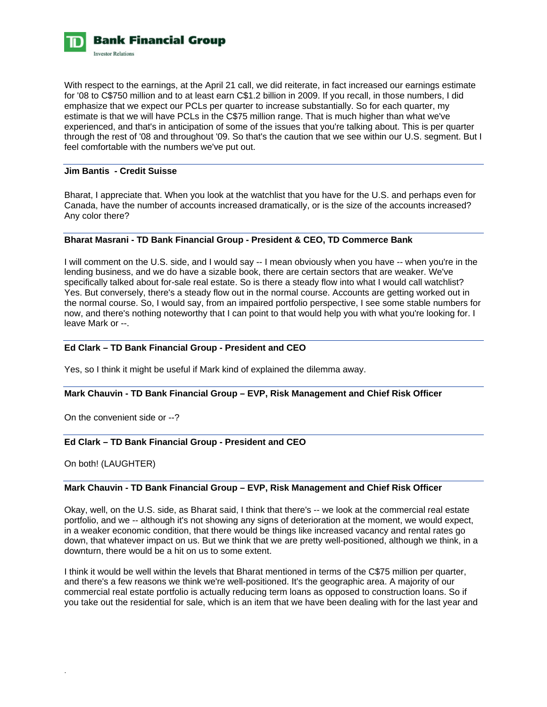

With respect to the earnings, at the April 21 call, we did reiterate, in fact increased our earnings estimate for '08 to C\$750 million and to at least earn C\$1.2 billion in 2009. If you recall, in those numbers, I did emphasize that we expect our PCLs per quarter to increase substantially. So for each quarter, my estimate is that we will have PCLs in the C\$75 million range. That is much higher than what we've experienced, and that's in anticipation of some of the issues that you're talking about. This is per quarter through the rest of '08 and throughout '09. So that's the caution that we see within our U.S. segment. But I feel comfortable with the numbers we've put out.

### **Jim Bantis - Credit Suisse**

Bharat, I appreciate that. When you look at the watchlist that you have for the U.S. and perhaps even for Canada, have the number of accounts increased dramatically, or is the size of the accounts increased? Any color there?

### **Bharat Masrani - TD Bank Financial Group - President & CEO, TD Commerce Bank**

I will comment on the U.S. side, and I would say -- I mean obviously when you have -- when you're in the lending business, and we do have a sizable book, there are certain sectors that are weaker. We've specifically talked about for-sale real estate. So is there a steady flow into what I would call watchlist? Yes. But conversely, there's a steady flow out in the normal course. Accounts are getting worked out in the normal course. So, I would say, from an impaired portfolio perspective, I see some stable numbers for now, and there's nothing noteworthy that I can point to that would help you with what you're looking for. I leave Mark or --.

### **Ed Clark – TD Bank Financial Group - President and CEO**

Yes, so I think it might be useful if Mark kind of explained the dilemma away.

#### **Mark Chauvin - TD Bank Financial Group – EVP, Risk Management and Chief Risk Officer**

On the convenient side or --?

### **Ed Clark – TD Bank Financial Group - President and CEO**

On both! (LAUGHTER)

.

### **Mark Chauvin - TD Bank Financial Group – EVP, Risk Management and Chief Risk Officer**

Okay, well, on the U.S. side, as Bharat said, I think that there's -- we look at the commercial real estate portfolio, and we -- although it's not showing any signs of deterioration at the moment, we would expect, in a weaker economic condition, that there would be things like increased vacancy and rental rates go down, that whatever impact on us. But we think that we are pretty well-positioned, although we think, in a downturn, there would be a hit on us to some extent.

I think it would be well within the levels that Bharat mentioned in terms of the C\$75 million per quarter, and there's a few reasons we think we're well-positioned. It's the geographic area. A majority of our commercial real estate portfolio is actually reducing term loans as opposed to construction loans. So if you take out the residential for sale, which is an item that we have been dealing with for the last year and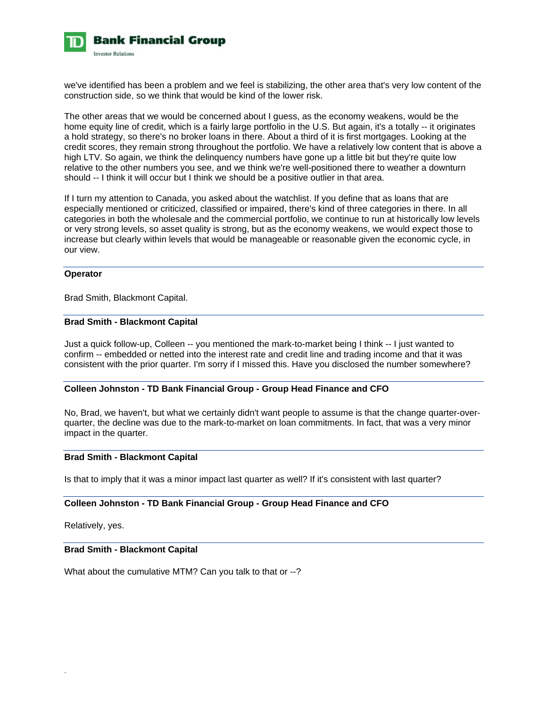

we've identified has been a problem and we feel is stabilizing, the other area that's very low content of the construction side, so we think that would be kind of the lower risk.

The other areas that we would be concerned about I guess, as the economy weakens, would be the home equity line of credit, which is a fairly large portfolio in the U.S. But again, it's a totally -- it originates a hold strategy, so there's no broker loans in there. About a third of it is first mortgages. Looking at the credit scores, they remain strong throughout the portfolio. We have a relatively low content that is above a high LTV. So again, we think the delinquency numbers have gone up a little bit but they're quite low relative to the other numbers you see, and we think we're well-positioned there to weather a downturn should -- I think it will occur but I think we should be a positive outlier in that area.

If I turn my attention to Canada, you asked about the watchlist. If you define that as loans that are especially mentioned or criticized, classified or impaired, there's kind of three categories in there. In all categories in both the wholesale and the commercial portfolio, we continue to run at historically low levels or very strong levels, so asset quality is strong, but as the economy weakens, we would expect those to increase but clearly within levels that would be manageable or reasonable given the economic cycle, in our view.

### **Operator**

Brad Smith, Blackmont Capital.

### **Brad Smith - Blackmont Capital**

Just a quick follow-up, Colleen -- you mentioned the mark-to-market being I think -- I just wanted to confirm -- embedded or netted into the interest rate and credit line and trading income and that it was consistent with the prior quarter. I'm sorry if I missed this. Have you disclosed the number somewhere?

# **Colleen Johnston - TD Bank Financial Group - Group Head Finance and CFO**

No, Brad, we haven't, but what we certainly didn't want people to assume is that the change quarter-overquarter, the decline was due to the mark-to-market on loan commitments. In fact, that was a very minor impact in the quarter.

#### **Brad Smith - Blackmont Capital**

Is that to imply that it was a minor impact last quarter as well? If it's consistent with last quarter?

### **Colleen Johnston - TD Bank Financial Group - Group Head Finance and CFO**

Relatively, yes.

.

# **Brad Smith - Blackmont Capital**

What about the cumulative MTM? Can you talk to that or --?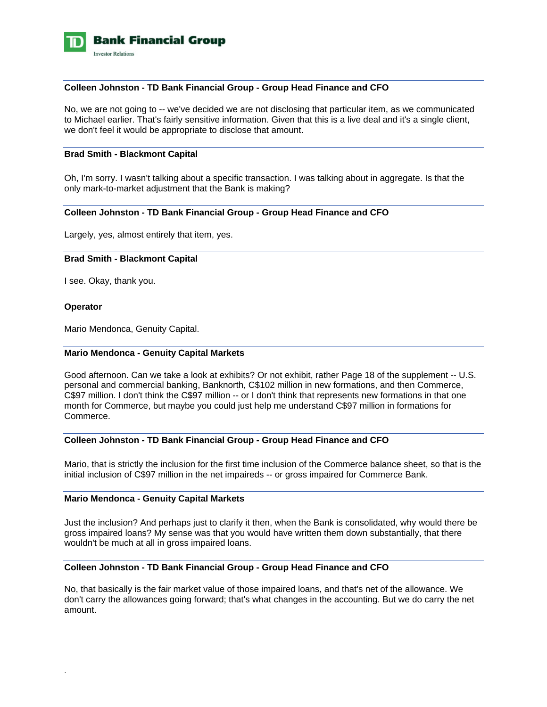

### **Colleen Johnston - TD Bank Financial Group - Group Head Finance and CFO**

No, we are not going to -- we've decided we are not disclosing that particular item, as we communicated to Michael earlier. That's fairly sensitive information. Given that this is a live deal and it's a single client, we don't feel it would be appropriate to disclose that amount.

#### **Brad Smith - Blackmont Capital**

Oh, I'm sorry. I wasn't talking about a specific transaction. I was talking about in aggregate. Is that the only mark-to-market adjustment that the Bank is making?

#### **Colleen Johnston - TD Bank Financial Group - Group Head Finance and CFO**

Largely, yes, almost entirely that item, yes.

#### **Brad Smith - Blackmont Capital**

I see. Okay, thank you.

#### **Operator**

.

Mario Mendonca, Genuity Capital.

#### **Mario Mendonca - Genuity Capital Markets**

Good afternoon. Can we take a look at exhibits? Or not exhibit, rather Page 18 of the supplement -- U.S. personal and commercial banking, Banknorth, C\$102 million in new formations, and then Commerce, C\$97 million. I don't think the C\$97 million -- or I don't think that represents new formations in that one month for Commerce, but maybe you could just help me understand C\$97 million in formations for Commerce.

#### **Colleen Johnston - TD Bank Financial Group - Group Head Finance and CFO**

Mario, that is strictly the inclusion for the first time inclusion of the Commerce balance sheet, so that is the initial inclusion of C\$97 million in the net impaireds -- or gross impaired for Commerce Bank.

### **Mario Mendonca - Genuity Capital Markets**

Just the inclusion? And perhaps just to clarify it then, when the Bank is consolidated, why would there be gross impaired loans? My sense was that you would have written them down substantially, that there wouldn't be much at all in gross impaired loans.

#### **Colleen Johnston - TD Bank Financial Group - Group Head Finance and CFO**

No, that basically is the fair market value of those impaired loans, and that's net of the allowance. We don't carry the allowances going forward; that's what changes in the accounting. But we do carry the net amount.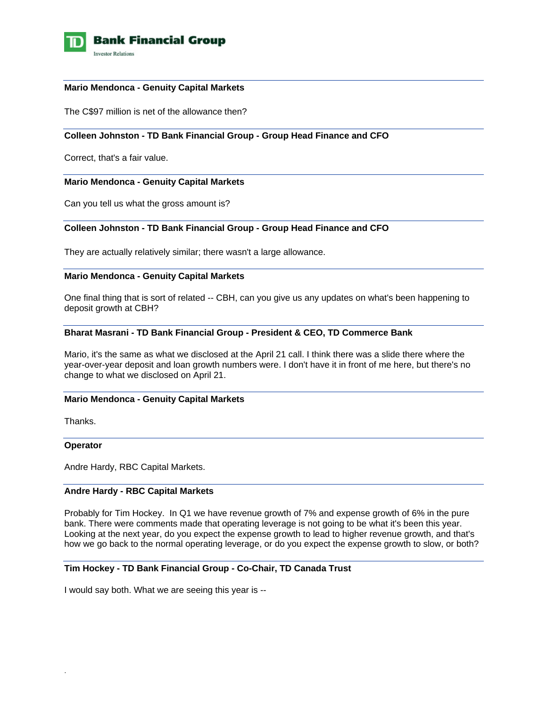

#### **Mario Mendonca - Genuity Capital Markets**

The C\$97 million is net of the allowance then?

### **Colleen Johnston - TD Bank Financial Group - Group Head Finance and CFO**

Correct, that's a fair value.

### **Mario Mendonca - Genuity Capital Markets**

Can you tell us what the gross amount is?

### **Colleen Johnston - TD Bank Financial Group - Group Head Finance and CFO**

They are actually relatively similar; there wasn't a large allowance.

### **Mario Mendonca - Genuity Capital Markets**

One final thing that is sort of related -- CBH, can you give us any updates on what's been happening to deposit growth at CBH?

### **Bharat Masrani - TD Bank Financial Group - President & CEO, TD Commerce Bank**

Mario, it's the same as what we disclosed at the April 21 call. I think there was a slide there where the year-over-year deposit and loan growth numbers were. I don't have it in front of me here, but there's no change to what we disclosed on April 21.

### **Mario Mendonca - Genuity Capital Markets**

Thanks.

#### **Operator**

.

Andre Hardy, RBC Capital Markets.

# **Andre Hardy - RBC Capital Markets**

Probably for Tim Hockey. In Q1 we have revenue growth of 7% and expense growth of 6% in the pure bank. There were comments made that operating leverage is not going to be what it's been this year. Looking at the next year, do you expect the expense growth to lead to higher revenue growth, and that's how we go back to the normal operating leverage, or do you expect the expense growth to slow, or both?

### **Tim Hockey - TD Bank Financial Group - Co-Chair, TD Canada Trust**

I would say both. What we are seeing this year is --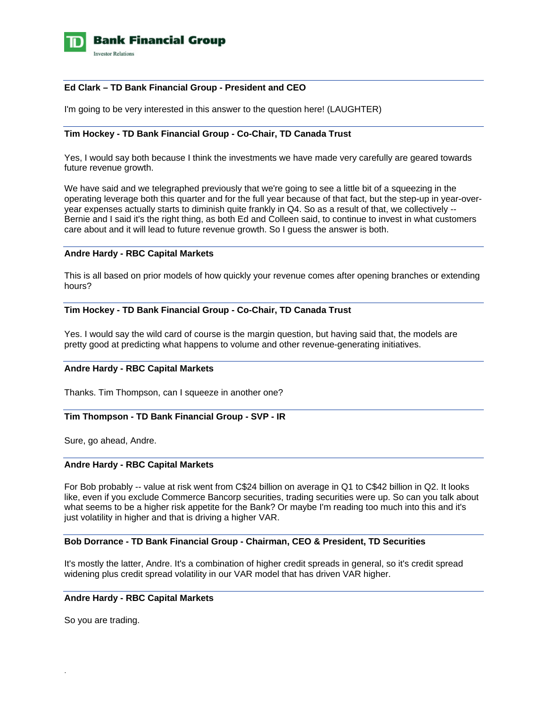

### **Ed Clark – TD Bank Financial Group - President and CEO**

I'm going to be very interested in this answer to the question here! (LAUGHTER)

# **Tim Hockey - TD Bank Financial Group - Co-Chair, TD Canada Trust**

Yes, I would say both because I think the investments we have made very carefully are geared towards future revenue growth.

We have said and we telegraphed previously that we're going to see a little bit of a squeezing in the operating leverage both this quarter and for the full year because of that fact, but the step-up in year-overyear expenses actually starts to diminish quite frankly in Q4. So as a result of that, we collectively -- Bernie and I said it's the right thing, as both Ed and Colleen said, to continue to invest in what customers care about and it will lead to future revenue growth. So I guess the answer is both.

#### **Andre Hardy - RBC Capital Markets**

This is all based on prior models of how quickly your revenue comes after opening branches or extending hours?

### **Tim Hockey - TD Bank Financial Group - Co-Chair, TD Canada Trust**

Yes. I would say the wild card of course is the margin question, but having said that, the models are pretty good at predicting what happens to volume and other revenue-generating initiatives.

### **Andre Hardy - RBC Capital Markets**

Thanks. Tim Thompson, can I squeeze in another one?

#### **Tim Thompson - TD Bank Financial Group - SVP - IR**

Sure, go ahead, Andre.

### **Andre Hardy - RBC Capital Markets**

For Bob probably -- value at risk went from C\$24 billion on average in Q1 to C\$42 billion in Q2. It looks like, even if you exclude Commerce Bancorp securities, trading securities were up. So can you talk about what seems to be a higher risk appetite for the Bank? Or maybe I'm reading too much into this and it's just volatility in higher and that is driving a higher VAR.

### **Bob Dorrance - TD Bank Financial Group - Chairman, CEO & President, TD Securities**

It's mostly the latter, Andre. It's a combination of higher credit spreads in general, so it's credit spread widening plus credit spread volatility in our VAR model that has driven VAR higher.

### **Andre Hardy - RBC Capital Markets**

So you are trading.

.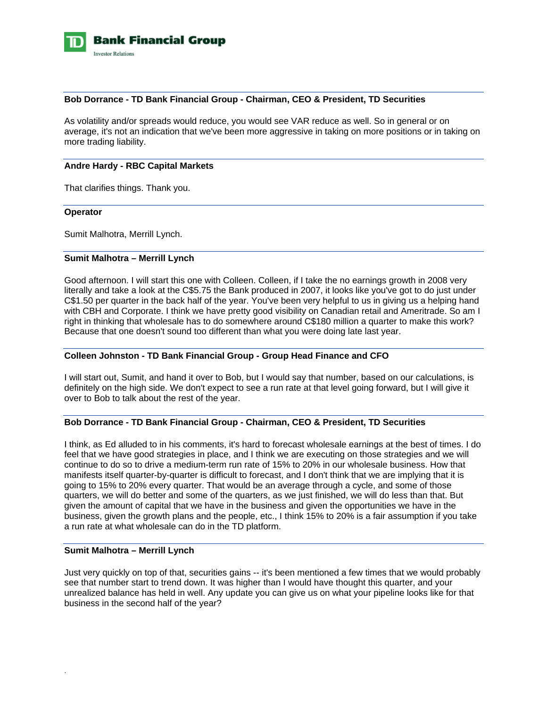

### **Bob Dorrance - TD Bank Financial Group - Chairman, CEO & President, TD Securities**

As volatility and/or spreads would reduce, you would see VAR reduce as well. So in general or on average, it's not an indication that we've been more aggressive in taking on more positions or in taking on more trading liability.

### **Andre Hardy - RBC Capital Markets**

That clarifies things. Thank you.

#### **Operator**

Sumit Malhotra, Merrill Lynch.

### **Sumit Malhotra – Merrill Lynch**

Good afternoon. I will start this one with Colleen. Colleen, if I take the no earnings growth in 2008 very literally and take a look at the C\$5.75 the Bank produced in 2007, it looks like you've got to do just under C\$1.50 per quarter in the back half of the year. You've been very helpful to us in giving us a helping hand with CBH and Corporate. I think we have pretty good visibility on Canadian retail and Ameritrade. So am I right in thinking that wholesale has to do somewhere around C\$180 million a quarter to make this work? Because that one doesn't sound too different than what you were doing late last year.

### **Colleen Johnston - TD Bank Financial Group - Group Head Finance and CFO**

I will start out, Sumit, and hand it over to Bob, but I would say that number, based on our calculations, is definitely on the high side. We don't expect to see a run rate at that level going forward, but I will give it over to Bob to talk about the rest of the year.

# **Bob Dorrance - TD Bank Financial Group - Chairman, CEO & President, TD Securities**

I think, as Ed alluded to in his comments, it's hard to forecast wholesale earnings at the best of times. I do feel that we have good strategies in place, and I think we are executing on those strategies and we will continue to do so to drive a medium-term run rate of 15% to 20% in our wholesale business. How that manifests itself quarter-by-quarter is difficult to forecast, and I don't think that we are implying that it is going to 15% to 20% every quarter. That would be an average through a cycle, and some of those quarters, we will do better and some of the quarters, as we just finished, we will do less than that. But given the amount of capital that we have in the business and given the opportunities we have in the business, given the growth plans and the people, etc., I think 15% to 20% is a fair assumption if you take a run rate at what wholesale can do in the TD platform.

### **Sumit Malhotra – Merrill Lynch**

.

Just very quickly on top of that, securities gains -- it's been mentioned a few times that we would probably see that number start to trend down. It was higher than I would have thought this quarter, and your unrealized balance has held in well. Any update you can give us on what your pipeline looks like for that business in the second half of the year?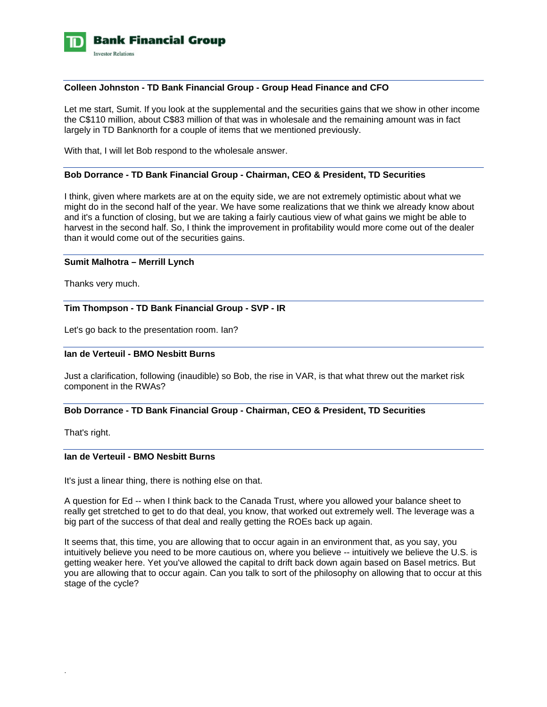

### **Colleen Johnston - TD Bank Financial Group - Group Head Finance and CFO**

Let me start, Sumit. If you look at the supplemental and the securities gains that we show in other income the C\$110 million, about C\$83 million of that was in wholesale and the remaining amount was in fact largely in TD Banknorth for a couple of items that we mentioned previously.

With that, I will let Bob respond to the wholesale answer.

#### **Bob Dorrance - TD Bank Financial Group - Chairman, CEO & President, TD Securities**

I think, given where markets are at on the equity side, we are not extremely optimistic about what we might do in the second half of the year. We have some realizations that we think we already know about and it's a function of closing, but we are taking a fairly cautious view of what gains we might be able to harvest in the second half. So, I think the improvement in profitability would more come out of the dealer than it would come out of the securities gains.

#### **Sumit Malhotra – Merrill Lynch**

Thanks very much.

### **Tim Thompson - TD Bank Financial Group - SVP - IR**

Let's go back to the presentation room. Ian?

# **Ian de Verteuil - BMO Nesbitt Burns**

Just a clarification, following (inaudible) so Bob, the rise in VAR, is that what threw out the market risk component in the RWAs?

### **Bob Dorrance - TD Bank Financial Group - Chairman, CEO & President, TD Securities**

That's right.

.

### **Ian de Verteuil - BMO Nesbitt Burns**

It's just a linear thing, there is nothing else on that.

A question for Ed -- when I think back to the Canada Trust, where you allowed your balance sheet to really get stretched to get to do that deal, you know, that worked out extremely well. The leverage was a big part of the success of that deal and really getting the ROEs back up again.

It seems that, this time, you are allowing that to occur again in an environment that, as you say, you intuitively believe you need to be more cautious on, where you believe -- intuitively we believe the U.S. is getting weaker here. Yet you've allowed the capital to drift back down again based on Basel metrics. But you are allowing that to occur again. Can you talk to sort of the philosophy on allowing that to occur at this stage of the cycle?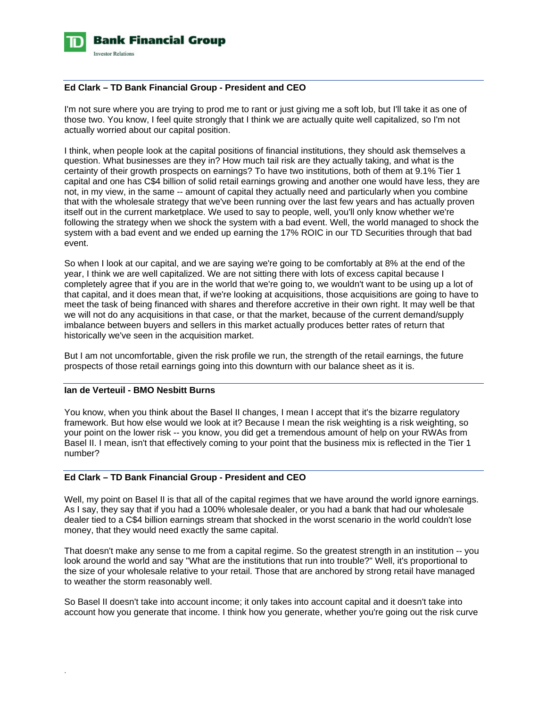

### **Ed Clark – TD Bank Financial Group - President and CEO**

I'm not sure where you are trying to prod me to rant or just giving me a soft lob, but I'll take it as one of those two. You know, I feel quite strongly that I think we are actually quite well capitalized, so I'm not actually worried about our capital position.

I think, when people look at the capital positions of financial institutions, they should ask themselves a question. What businesses are they in? How much tail risk are they actually taking, and what is the certainty of their growth prospects on earnings? To have two institutions, both of them at 9.1% Tier 1 capital and one has C\$4 billion of solid retail earnings growing and another one would have less, they are not, in my view, in the same -- amount of capital they actually need and particularly when you combine that with the wholesale strategy that we've been running over the last few years and has actually proven itself out in the current marketplace. We used to say to people, well, you'll only know whether we're following the strategy when we shock the system with a bad event. Well, the world managed to shock the system with a bad event and we ended up earning the 17% ROIC in our TD Securities through that bad event.

So when I look at our capital, and we are saying we're going to be comfortably at 8% at the end of the year, I think we are well capitalized. We are not sitting there with lots of excess capital because I completely agree that if you are in the world that we're going to, we wouldn't want to be using up a lot of that capital, and it does mean that, if we're looking at acquisitions, those acquisitions are going to have to meet the task of being financed with shares and therefore accretive in their own right. It may well be that we will not do any acquisitions in that case, or that the market, because of the current demand/supply imbalance between buyers and sellers in this market actually produces better rates of return that historically we've seen in the acquisition market.

But I am not uncomfortable, given the risk profile we run, the strength of the retail earnings, the future prospects of those retail earnings going into this downturn with our balance sheet as it is.

# **Ian de Verteuil - BMO Nesbitt Burns**

.

You know, when you think about the Basel II changes, I mean I accept that it's the bizarre regulatory framework. But how else would we look at it? Because I mean the risk weighting is a risk weighting, so your point on the lower risk -- you know, you did get a tremendous amount of help on your RWAs from Basel II. I mean, isn't that effectively coming to your point that the business mix is reflected in the Tier 1 number?

#### **Ed Clark – TD Bank Financial Group - President and CEO**

Well, my point on Basel II is that all of the capital regimes that we have around the world ignore earnings. As I say, they say that if you had a 100% wholesale dealer, or you had a bank that had our wholesale dealer tied to a C\$4 billion earnings stream that shocked in the worst scenario in the world couldn't lose money, that they would need exactly the same capital.

That doesn't make any sense to me from a capital regime. So the greatest strength in an institution -- you look around the world and say "What are the institutions that run into trouble?" Well, it's proportional to the size of your wholesale relative to your retail. Those that are anchored by strong retail have managed to weather the storm reasonably well.

So Basel II doesn't take into account income; it only takes into account capital and it doesn't take into account how you generate that income. I think how you generate, whether you're going out the risk curve